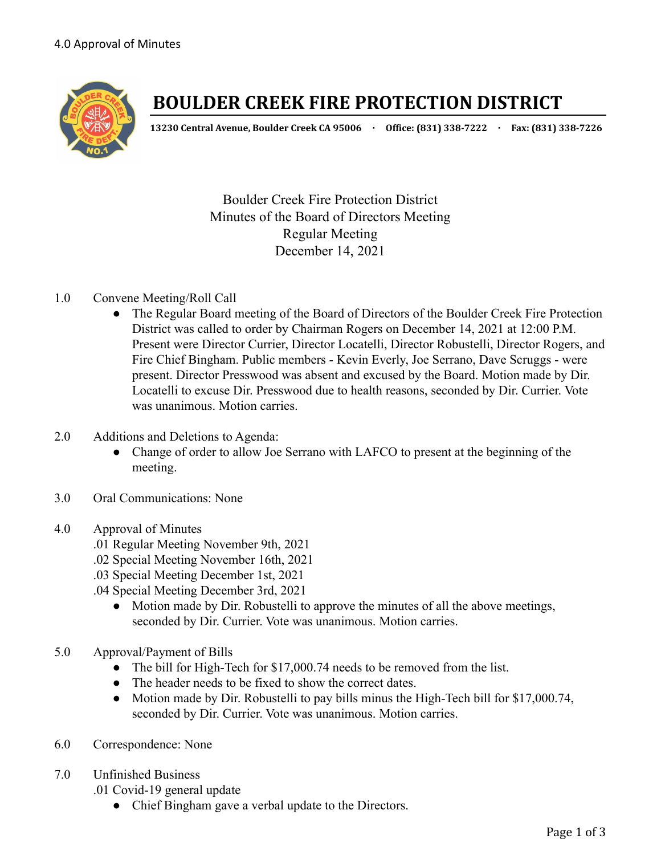

# **BOULDER CREEK FIRE PROTECTION DISTRICT**

**13230 Central Avenue, Boulder Creek CA 95006 · Office: (831) 338-7222 · Fax: (831) 338-7226**

Boulder Creek Fire Protection District Minutes of the Board of Directors Meeting Regular Meeting December 14, 2021

## 1.0 Convene Meeting/Roll Call

- The Regular Board meeting of the Board of Directors of the Boulder Creek Fire Protection District was called to order by Chairman Rogers on December 14, 2021 at 12:00 P.M. Present were Director Currier, Director Locatelli, Director Robustelli, Director Rogers, and Fire Chief Bingham. Public members - Kevin Everly, Joe Serrano, Dave Scruggs - were present. Director Presswood was absent and excused by the Board. Motion made by Dir. Locatelli to excuse Dir. Presswood due to health reasons, seconded by Dir. Currier. Vote was unanimous. Motion carries.
- 2.0 Additions and Deletions to Agenda:
	- Change of order to allow Joe Serrano with LAFCO to present at the beginning of the meeting.
- 3.0 Oral Communications: None
- 4.0 Approval of Minutes
	- .01 Regular Meeting November 9th, 2021
	- .02 Special Meeting November 16th, 2021
	- .03 Special Meeting December 1st, 2021
	- .04 Special Meeting December 3rd, 2021
		- Motion made by Dir. Robustelli to approve the minutes of all the above meetings, seconded by Dir. Currier. Vote was unanimous. Motion carries.
- 5.0 Approval/Payment of Bills
	- The bill for High-Tech for \$17,000.74 needs to be removed from the list.
	- The header needs to be fixed to show the correct dates.
	- Motion made by Dir. Robustelli to pay bills minus the High-Tech bill for \$17,000.74, seconded by Dir. Currier. Vote was unanimous. Motion carries.
- 6.0 Correspondence: None
- 7.0 Unfinished Business
	- .01 Covid-19 general update
		- Chief Bingham gave a verbal update to the Directors.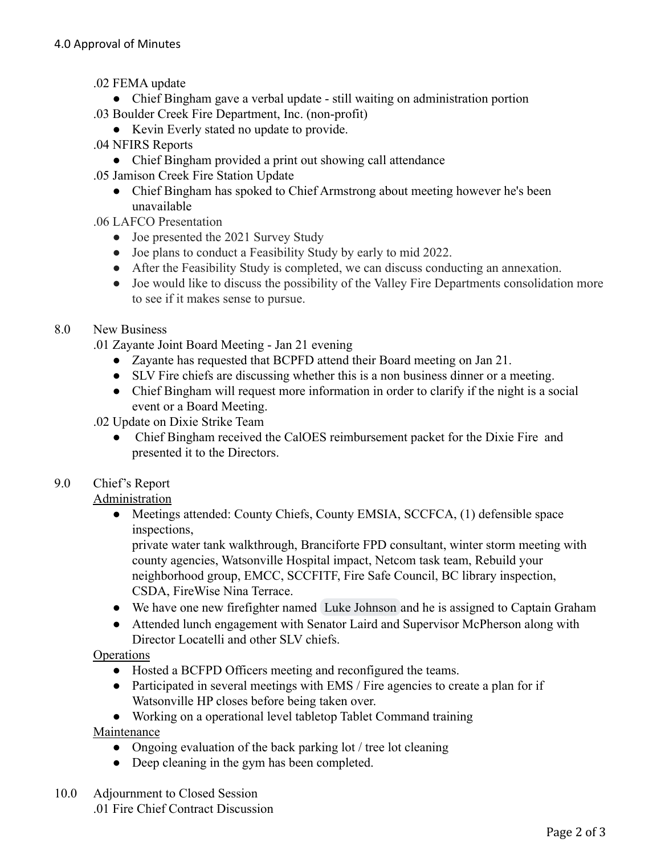- .02 FEMA update
- Chief Bingham gave a verbal update still waiting on administration portion .03 Boulder Creek Fire Department, Inc. (non-profit)
	- Kevin Everly stated no update to provide.
- .04 NFIRS Reports
	- Chief Bingham provided a print out showing call attendance
- .05 Jamison Creek Fire Station Update
	- Chief Bingham has spoked to Chief Armstrong about meeting however he's been unavailable
- .06 LAFCO Presentation
	- Joe presented the 2021 Survey Study
	- Joe plans to conduct a Feasibility Study by early to mid 2022.
	- After the Feasibility Study is completed, we can discuss conducting an annexation.
	- Joe would like to discuss the possibility of the Valley Fire Departments consolidation more to see if it makes sense to pursue.

## 8.0 New Business

- .01 Zayante Joint Board Meeting Jan 21 evening
	- Zayante has requested that BCPFD attend their Board meeting on Jan 21.
	- SLV Fire chiefs are discussing whether this is a non business dinner or a meeting.
	- Chief Bingham will request more information in order to clarify if the night is a social event or a Board Meeting.
- .02 Update on Dixie Strike Team
	- Chief Bingham received the CalOES reimbursement packet for the Dixie Fire and presented it to the Directors.

## 9.0 Chief's Report

## Administration

• Meetings attended: County Chiefs, County EMSIA, SCCFCA, (1) defensible space inspections,

private water tank walkthrough, Branciforte FPD consultant, winter storm meeting with county agencies, Watsonville Hospital impact, Netcom task team, Rebuild your neighborhood group, EMCC, SCCFITF, Fire Safe Council, BC library inspection, CSDA, FireWise Nina Terrace.

- We have one new firefighter named [Luke Johnson](mailto:luke3johnson@gmail.com) and he is assigned to Captain Graham
- Attended lunch engagement with Senator Laird and Supervisor McPherson along with Director Locatelli and other SLV chiefs.

## **Operations**

- Hosted a BCFPD Officers meeting and reconfigured the teams.
- Participated in several meetings with EMS / Fire agencies to create a plan for if Watsonville HP closes before being taken over.

● Working on a operational level tabletop Tablet Command training Maintenance

- Ongoing evaluation of the back parking lot / tree lot cleaning
- Deep cleaning in the gym has been completed.
- 10.0 Adjournment to Closed Session .01 Fire Chief Contract Discussion